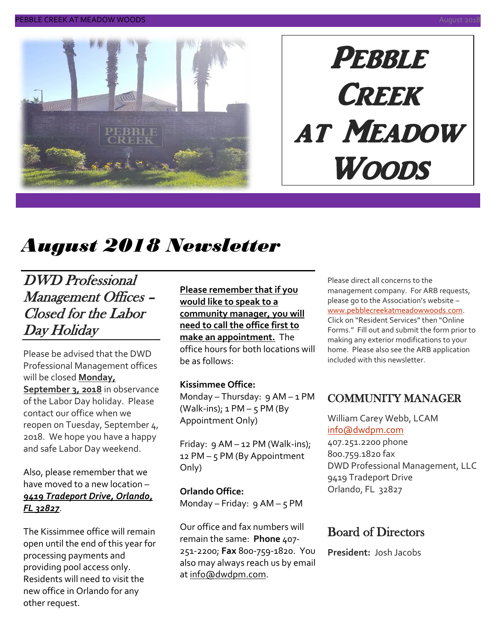

# **PEBBLE CREEK** at Meadow Woods

## *August 2018 Newsletter*

DWD Professional Management Offices – Closed for the Labor Day Holiday

Please be advised that the DWD Professional Management offices will be closed **Monday, September 3, 2018** in observance of the Labor Day holiday. Please contact our office when we reopen on Tuesday, September 4, 2018. We hope you have a happy and safe Labor Day weekend.

Also, please remember that we have moved to a new location – *9419 Tradeport Drive, Orlando, FL 32827*.

The Kissimmee office will remain open until the end of this year for processing payments and providing pool access only. Residents will need to visit the new office in Orlando for any other request.

**Please remember that if you would like to speak to a community manager, you will need to call the office first to make an appointment.** The office hours for both locations will be as follows:

#### **Kissimmee Office:**

Monday – Thursday: 9 AM – 1 PM (Walk-ins);  $1 PM - 5 PM$  (By Appointment Only)

Friday:  $9$  AM – 12 PM (Walk-ins); 12 PM – 5 PM (By Appointment Only)

**Orlando Office:** Monday – Friday:  $9AM - 5PM$ 

Our office and fax numbers will remain the same: **Phone** 407- 251-2200; **Fax** 800-759-1820. You also may always reach us by email a[t info@dwdpm.com.](mailto:info@dwdpm.com)

Please direct all concerns to the management company. For ARB requests, please go to the Association's website – [www.pebblecreekatmeadowwoods.com.](http://www.pebblecreekatmeadowwoods.com/) Click on "Resident Services" then "Online Forms." Fill out and submit the form prior to making any exterior modifications to your home. Please also see the ARB application included with this newsletter.

### COMMUNITY MANAGER

William Carey Webb, LCAM [info@dwdpm.com](mailto:info@dwdpm.com)  407.251.2200 phone 800.759.1820 fax DWD Professional Management, LLC 9419 Tradeport Drive Orlando, FL 32827

### Board of Directors

**President:** Josh Jacobs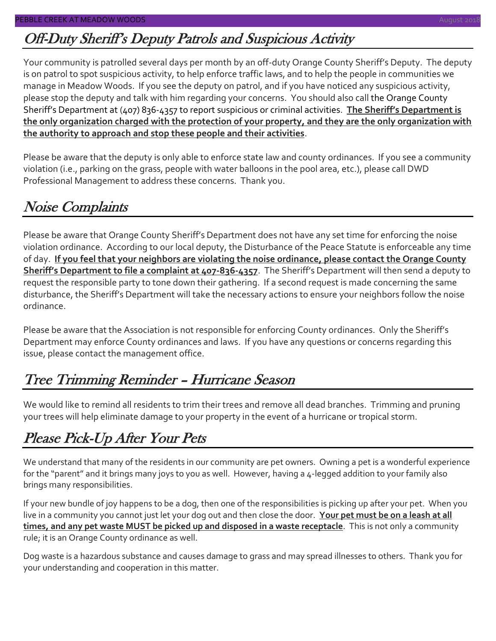### Off-Duty Sheriff's Deputy Patrols and Suspicious Activity

Your community is patrolled several days per month by an off-duty Orange County Sheriff's Deputy. The deputy is on patrol to spot suspicious activity, to help enforce traffic laws, and to help the people in communities we manage in Meadow Woods. If you see the deputy on patrol, and if you have noticed any suspicious activity, please stop the deputy and talk with him regarding your concerns. You should also call the Orange County Sheriff's Department at (407) 836-4357 to report suspicious or criminal activities. **The Sheriff's Department is the only organization charged with the protection of your property, and they are the only organization with the authority to approach and stop these people and their activities**.

Please be aware that the deputy is only able to enforce state law and county ordinances. If you see a community violation (i.e., parking on the grass, people with water balloons in the pool area, etc.), please call DWD Professional Management to address these concerns. Thank you.

### Noise Complaints

Please be aware that Orange County Sheriff's Department does not have any set time for enforcing the noise violation ordinance. According to our local deputy, the Disturbance of the Peace Statute is enforceable any time of day. **If you feel that your neighbors are violating the noise ordinance, please contact the Orange County Sheriff's Department to file a complaint at 407-836-4357**. The Sheriff's Department will then send a deputy to request the responsible party to tone down their gathering. If a second request is made concerning the same disturbance, the Sheriff's Department will take the necessary actions to ensure your neighbors follow the noise ordinance.

Please be aware that the Association is not responsible for enforcing County ordinances. Only the Sheriff's Department may enforce County ordinances and laws. If you have any questions or concerns regarding this issue, please contact the management office.

### Tree Trimming Reminder – Hurricane Season

We would like to remind all residents to trim their trees and remove all dead branches. Trimming and pruning your trees will help eliminate damage to your property in the event of a hurricane or tropical storm.

### Please Pick-Up After Your Pets

We understand that many of the residents in our community are pet owners. Owning a pet is a wonderful experience for the "parent" and it brings many joys to you as well. However, having a 4-legged addition to your family also brings many responsibilities.

If your new bundle of joy happens to be a dog, then one of the responsibilities is picking up after your pet. When you live in a community you cannot just let your dog out and then close the door. **Your pet must be on a leash at all times, and any pet waste MUST be picked up and disposed in a waste receptacle**. This is not only a community rule; it is an Orange County ordinance as well.

Dog waste is a hazardous substance and causes damage to grass and may spread illnesses to others. Thank you for your understanding and cooperation in this matter.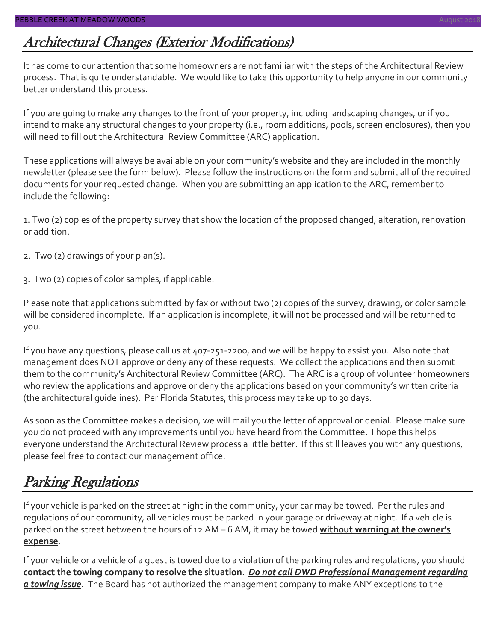### Architectural Changes (Exterior Modifications)

It has come to our attention that some homeowners are not familiar with the steps of the Architectural Review process. That is quite understandable. We would like to take this opportunity to help anyone in our community better understand this process.

If you are going to make any changes to the front of your property, including landscaping changes, or if you intend to make any structural changes to your property (i.e., room additions, pools, screen enclosures), then you will need to fill out the Architectural Review Committee (ARC) application.

These applications will always be available on your community's website and they are included in the monthly newsletter (please see the form below). Please follow the instructions on the form and submit all of the required documents for your requested change. When you are submitting an application to the ARC, remember to include the following:

1. Two (2) copies of the property survey that show the location of the proposed changed, alteration, renovation or addition.

- 2. Two (2) drawings of your plan(s).
- 3. Two (2) copies of color samples, if applicable.

Please note that applications submitted by fax or without two (2) copies of the survey, drawing, or color sample will be considered incomplete. If an application is incomplete, it will not be processed and will be returned to you.

If you have any questions, please call us at 407-251-2200, and we will be happy to assist you. Also note that management does NOT approve or deny any of these requests. We collect the applications and then submit them to the community's Architectural Review Committee (ARC). The ARC is a group of volunteer homeowners who review the applications and approve or deny the applications based on your community's written criteria (the architectural guidelines). Per Florida Statutes, this process may take up to 30 days.

As soon as the Committee makes a decision, we will mail you the letter of approval or denial. Please make sure you do not proceed with any improvements until you have heard from the Committee. I hope this helps everyone understand the Architectural Review process a little better. If this still leaves you with any questions, please feel free to contact our management office.

### Parking Regulations

If your vehicle is parked on the street at night in the community, your car may be towed. Per the rules and regulations of our community, all vehicles must be parked in your garage or driveway at night. If a vehicle is parked on the street between the hours of 12 AM – 6 AM, it may be towed **without warning at the owner's expense**.

If your vehicle or a vehicle of a guest is towed due to a violation of the parking rules and regulations, you should **contact the towing company to resolve the situation**. *Do not call DWD Professional Management regarding a towing issue*. The Board has not authorized the management company to make ANY exceptions to the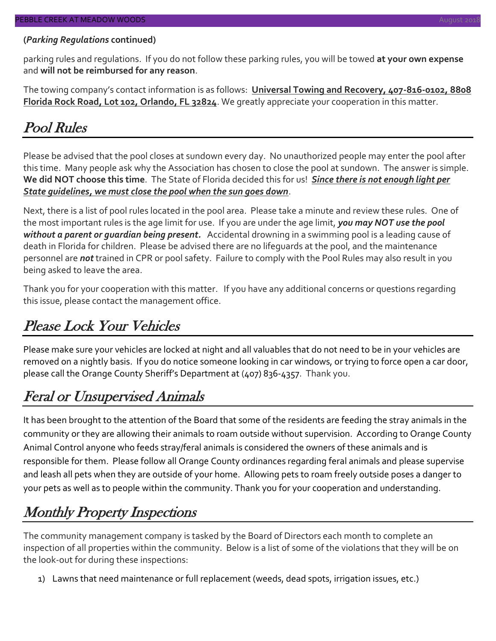#### **(***Parking Regulations* **continued)**

parking rules and regulations. If you do not follow these parking rules, you will be towed **at your own expense** and **will not be reimbursed for any reason**.

The towing company's contact information is as follows: **Universal Towing and Recovery, 407-816-0102, 8808 Florida Rock Road, Lot 102, Orlando, FL 32824**. We greatly appreciate your cooperation in this matter.

### Pool Rules

Please be advised that the pool closes at sundown every day. No unauthorized people may enter the pool after this time. Many people ask why the Association has chosen to close the pool at sundown. The answer is simple. **We did NOT choose this time**. The State of Florida decided this for us! *Since there is not enough light per State guidelines, we must close the pool when the sun goes down*.

Next, there is a list of pool rules located in the pool area. Please take a minute and review these rules. One of the most important rules is the age limit for use. If you are under the age limit, *you may NOT use the pool without a parent or guardian being present.* Accidental drowning in a swimming pool is a leading cause of death in Florida for children. Please be advised there are no lifeguards at the pool, and the maintenance personnel are *not* trained in CPR or pool safety. Failure to comply with the Pool Rules may also result in you being asked to leave the area.

Thank you for your cooperation with this matter. If you have any additional concerns or questions regarding this issue, please contact the management office.

### Please Lock Your Vehicles

Please make sure your vehicles are locked at night and all valuables that do not need to be in your vehicles are removed on a nightly basis. If you do notice someone looking in car windows, or trying to force open a car door, please call the Orange County Sheriff's Department at (407) 836-4357. Thank you.

### Feral or Unsupervised Animals

It has been brought to the attention of the Board that some of the residents are feeding the stray animals in the community or they are allowing their animals to roam outside without supervision. According to Orange County Animal Control anyone who feeds stray/feral animals is considered the owners of these animals and is responsible for them. Please follow all Orange County ordinances regarding feral animals and please supervise and leash all pets when they are outside of your home. Allowing pets to roam freely outside poses a danger to your pets as well as to people within the community. Thank you for your cooperation and understanding.

### Monthly Property Inspections

The community management company is tasked by the Board of Directors each month to complete an inspection of all properties within the community. Below is a list of some of the violations that they will be on the look-out for during these inspections:

1) Lawns that need maintenance or full replacement (weeds, dead spots, irrigation issues, etc.)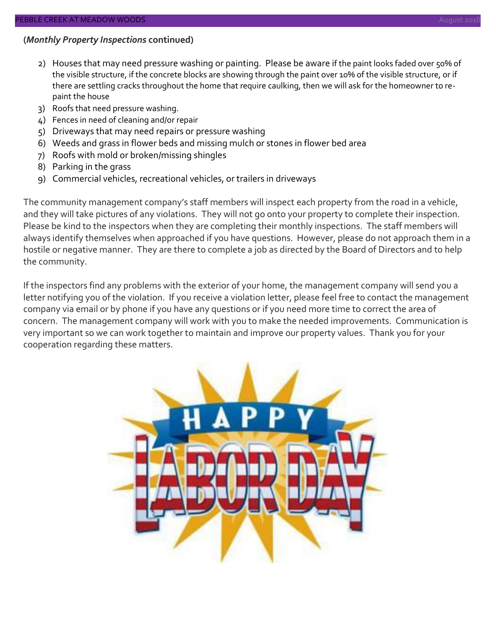#### **(***Monthly Property Inspections* **continued)**

- 2) Houses that may need pressure washing or painting. Please be aware if the paint looks faded over 50% of the visible structure, if the concrete blocks are showing through the paint over 10% of the visible structure, or if there are settling cracks throughout the home that require caulking, then we will ask for the homeowner to repaint the house
- 3) Roofs that need pressure washing.
- 4) Fences in need of cleaning and/or repair
- 5) Driveways that may need repairs or pressure washing
- 6) Weeds and grass in flower beds and missing mulch or stones in flower bed area
- 7) Roofs with mold or broken/missing shingles
- 8) Parking in the grass
- 9) Commercial vehicles, recreational vehicles, or trailers in driveways

The community management company's staff members will inspect each property from the road in a vehicle, and they will take pictures of any violations. They will not go onto your property to complete their inspection. Please be kind to the inspectors when they are completing their monthly inspections. The staff members will always identify themselves when approached if you have questions. However, please do not approach them in a hostile or negative manner. They are there to complete a job as directed by the Board of Directors and to help the community.

If the inspectors find any problems with the exterior of your home, the management company will send you a letter notifying you of the violation. If you receive a violation letter, please feel free to contact the management company via email or by phone if you have any questions or if you need more time to correct the area of concern. The management company will work with you to make the needed improvements. Communication is very important so we can work together to maintain and improve our property values. Thank you for your cooperation regarding these matters.

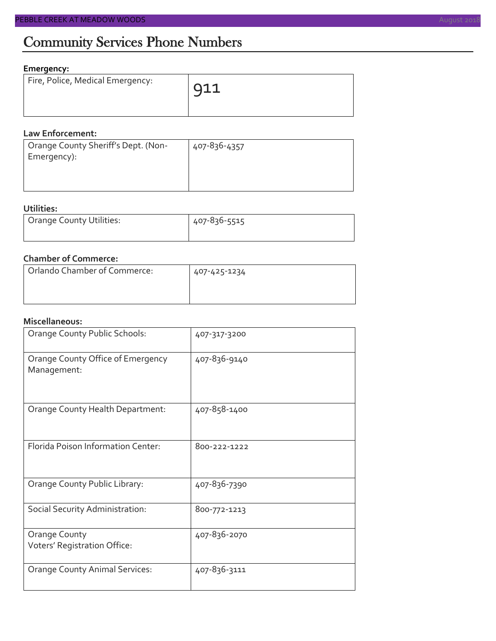#### **Emergency:**

| Fire, Police, Medical Emergency: | $\overline{911}$ |
|----------------------------------|------------------|
|                                  |                  |

#### **Law Enforcement:**

| Orange County Sheriff's Dept. (Non- | 407-836-4357 |
|-------------------------------------|--------------|
| Emergency):                         |              |
|                                     |              |

#### **Utilities:**

| Orange County Utilities: | 407-836-5515 |  |  |
|--------------------------|--------------|--|--|
|                          |              |  |  |

#### **Chamber of Commerce:**

| Orlando Chamber of Commerce: | 407-425-1234 |  |  |
|------------------------------|--------------|--|--|
|                              |              |  |  |

#### **Miscellaneous:**

| Orange County Public Schools:                    | 407-317-3200 |
|--------------------------------------------------|--------------|
| Orange County Office of Emergency<br>Management: | 407-836-9140 |
| Orange County Health Department:                 | 407-858-1400 |
| Florida Poison Information Center:               | 800-222-1222 |
| Orange County Public Library:                    | 407-836-7390 |
| Social Security Administration:                  | 800-772-1213 |
| Orange County<br>Voters' Registration Office:    | 407-836-2070 |
| <b>Orange County Animal Services:</b>            | 407-836-3111 |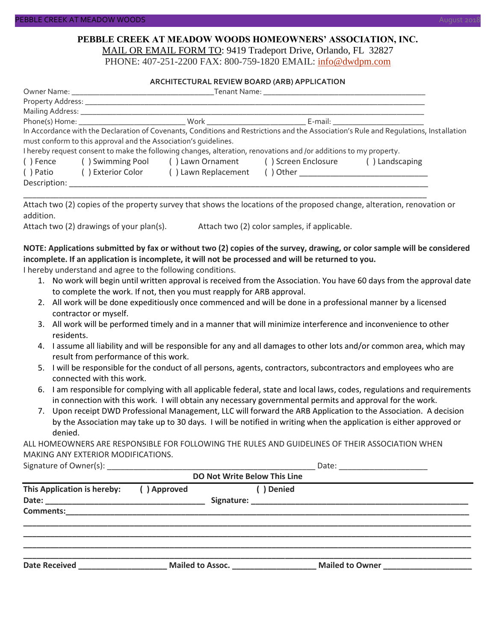#### **PEBBLE CREEK AT MEADOW WOODS HOMEOWNERS' ASSOCIATION, INC.** MAIL OR EMAIL FORM TO: 9419 Tradeport Drive, Orlando, FL 32827

PHONE: 407-251-2200 FAX: 800-759-1820 EMAIL: [info@dwdpm.com](mailto:info@dwdpm.com)

#### **ARCHITECTURAL REVIEW BOARD (ARB) APPLICATION**

|              |                                                                 |                                                                                                                   | Phone(s) Home: North Mork North Beams Beams E-mail: |                                                                                                                                       |  |
|--------------|-----------------------------------------------------------------|-------------------------------------------------------------------------------------------------------------------|-----------------------------------------------------|---------------------------------------------------------------------------------------------------------------------------------------|--|
|              |                                                                 |                                                                                                                   |                                                     | In Accordance with the Declaration of Covenants, Conditions and Restrictions and the Association's Rule and Requlations, Installation |  |
|              | must conform to this approval and the Association's quidelines. |                                                                                                                   |                                                     |                                                                                                                                       |  |
|              |                                                                 | I hereby request consent to make the following changes, alteration, renovations and /or additions to my property. |                                                     |                                                                                                                                       |  |
| () Fence     | () Swimming Pool () Lawn Ornament () Screen Enclosure           |                                                                                                                   |                                                     | () Landscaping                                                                                                                        |  |
| () Patio     | ( ) Exterior Color                                              | () Lawn Replacement                                                                                               |                                                     |                                                                                                                                       |  |
| Description: |                                                                 |                                                                                                                   |                                                     |                                                                                                                                       |  |

Attach two (2) copies of the property survey that shows the locations of the proposed change, alteration, renovation or addition.

\_\_\_\_\_\_\_\_\_\_\_\_\_\_\_\_\_\_\_\_\_\_\_\_\_\_\_\_\_\_\_\_\_\_\_\_\_\_\_\_\_\_\_\_\_\_\_\_\_\_\_\_\_\_\_\_\_\_\_\_\_\_\_\_\_\_\_\_\_\_\_\_\_\_\_\_\_\_\_\_\_\_\_\_\_\_\_\_\_\_\_

Attach two (2) drawings of your plan(s). Attach two (2) color samples, if applicable.

#### **NOTE: Applications submitted by fax or without two (2) copies of the survey, drawing, or color sample will be considered incomplete. If an application is incomplete, it will not be processed and will be returned to you.**

I hereby understand and agree to the following conditions.

- 1. No work will begin until written approval is received from the Association. You have 60 days from the approval date to complete the work. If not, then you must reapply for ARB approval.
- 2. All work will be done expeditiously once commenced and will be done in a professional manner by a licensed contractor or myself.
- 3. All work will be performed timely and in a manner that will minimize interference and inconvenience to other residents.
- 4. I assume all liability and will be responsible for any and all damages to other lots and/or common area, which may result from performance of this work.
- 5. I will be responsible for the conduct of all persons, agents, contractors, subcontractors and employees who are connected with this work.
- 6. I am responsible for complying with all applicable federal, state and local laws, codes, regulations and requirements in connection with this work. I will obtain any necessary governmental permits and approval for the work.
- 7. Upon receipt DWD Professional Management, LLC will forward the ARB Application to the Association. A decision by the Association may take up to 30 days. I will be notified in writing when the application is either approved or denied.

ALL HOMEOWNERS ARE RESPONSIBLE FOR FOLLOWING THE RULES AND GUIDELINES OF THEIR ASSOCIATION WHEN MAKING ANY EXTERIOR MODIFICATIONS.

Signature of Owner(s):  $\Box$ 

| <b>DO Not Write Below This Line</b> |             |                  |            |                        |  |  |
|-------------------------------------|-------------|------------------|------------|------------------------|--|--|
| This Application is hereby:         | () Approved |                  | ( ) Denied |                        |  |  |
| <b>Comments:</b>                    |             |                  |            |                        |  |  |
| <b>Date Received</b>                |             | Mailed to Assoc. |            | <b>Mailed to Owner</b> |  |  |